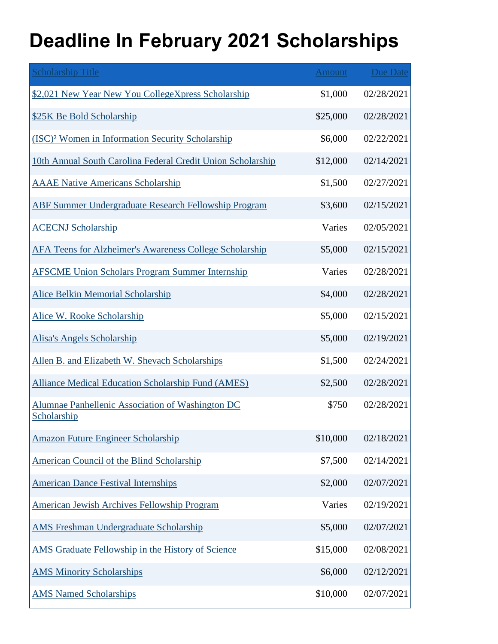## **Deadline In February 2021 Scholarships**

| <b>Scholarship Title</b>                                        | <b>Amount</b> | Due Date   |
|-----------------------------------------------------------------|---------------|------------|
| \$2,021 New Year New You CollegeXpress Scholarship              | \$1,000       | 02/28/2021 |
| \$25K Be Bold Scholarship                                       | \$25,000      | 02/28/2021 |
| (ISC) <sup>2</sup> Women in Information Security Scholarship    | \$6,000       | 02/22/2021 |
| 10th Annual South Carolina Federal Credit Union Scholarship     | \$12,000      | 02/14/2021 |
| <b>AAAE Native Americans Scholarship</b>                        | \$1,500       | 02/27/2021 |
| <b>ABF Summer Undergraduate Research Fellowship Program</b>     | \$3,600       | 02/15/2021 |
| <b>ACECNJ Scholarship</b>                                       | Varies        | 02/05/2021 |
| AFA Teens for Alzheimer's Awareness College Scholarship         | \$5,000       | 02/15/2021 |
| <b>AFSCME Union Scholars Program Summer Internship</b>          | Varies        | 02/28/2021 |
| <b>Alice Belkin Memorial Scholarship</b>                        | \$4,000       | 02/28/2021 |
| Alice W. Rooke Scholarship                                      | \$5,000       | 02/15/2021 |
| <b>Alisa's Angels Scholarship</b>                               | \$5,000       | 02/19/2021 |
| Allen B. and Elizabeth W. Shevach Scholarships                  | \$1,500       | 02/24/2021 |
| <b>Alliance Medical Education Scholarship Fund (AMES)</b>       | \$2,500       | 02/28/2021 |
| Alumnae Panhellenic Association of Washington DC<br>Scholarship | \$750         | 02/28/2021 |
| <b>Amazon Future Engineer Scholarship</b>                       | \$10,000      | 02/18/2021 |
| <b>American Council of the Blind Scholarship</b>                | \$7,500       | 02/14/2021 |
| <b>American Dance Festival Internships</b>                      | \$2,000       | 02/07/2021 |
| <b>American Jewish Archives Fellowship Program</b>              | Varies        | 02/19/2021 |
| <b>AMS Freshman Undergraduate Scholarship</b>                   | \$5,000       | 02/07/2021 |
| AMS Graduate Fellowship in the History of Science               | \$15,000      | 02/08/2021 |
| <b>AMS Minority Scholarships</b>                                | \$6,000       | 02/12/2021 |
| <b>AMS Named Scholarships</b>                                   | \$10,000      | 02/07/2021 |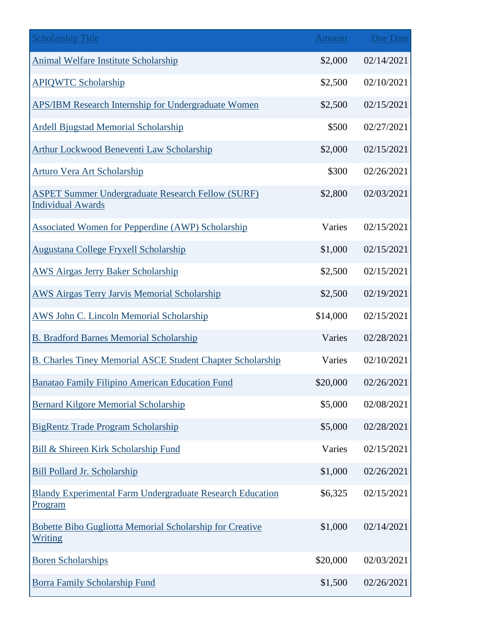| <b>Scholarship Title</b>                                                             | <b>Amount</b> | <b>Due Date</b> |
|--------------------------------------------------------------------------------------|---------------|-----------------|
| <b>Animal Welfare Institute Scholarship</b>                                          | \$2,000       | 02/14/2021      |
| <b>APIQWTC Scholarship</b>                                                           | \$2,500       | 02/10/2021      |
| APS/IBM Research Internship for Undergraduate Women                                  | \$2,500       | 02/15/2021      |
| <b>Ardell Bjugstad Memorial Scholarship</b>                                          | \$500         | 02/27/2021      |
| Arthur Lockwood Beneventi Law Scholarship                                            | \$2,000       | 02/15/2021      |
| <b>Arturo Vera Art Scholarship</b>                                                   | \$300         | 02/26/2021      |
| <b>ASPET Summer Undergraduate Research Fellow (SURF)</b><br><b>Individual Awards</b> | \$2,800       | 02/03/2021      |
| <b>Associated Women for Pepperdine (AWP) Scholarship</b>                             | Varies        | 02/15/2021      |
| <b>Augustana College Fryxell Scholarship</b>                                         | \$1,000       | 02/15/2021      |
| <b>AWS Airgas Jerry Baker Scholarship</b>                                            | \$2,500       | 02/15/2021      |
| <b>AWS Airgas Terry Jarvis Memorial Scholarship</b>                                  | \$2,500       | 02/19/2021      |
| <b>AWS John C. Lincoln Memorial Scholarship</b>                                      | \$14,000      | 02/15/2021      |
| <b>B. Bradford Barnes Memorial Scholarship</b>                                       | Varies        | 02/28/2021      |
| <b>B. Charles Tiney Memorial ASCE Student Chapter Scholarship</b>                    | Varies        | 02/10/2021      |
| Banatao Family Filipino American Education Fund                                      | \$20,000      | 02/26/2021      |
| <b>Bernard Kilgore Memorial Scholarship</b>                                          | \$5,000       | 02/08/2021      |
| <b>BigRentz Trade Program Scholarship</b>                                            | \$5,000       | 02/28/2021      |
| Bill & Shireen Kirk Scholarship Fund                                                 | Varies        | 02/15/2021      |
| <b>Bill Pollard Jr. Scholarship</b>                                                  | \$1,000       | 02/26/2021      |
| Blandy Experimental Farm Undergraduate Research Education<br>Program                 | \$6,325       | 02/15/2021      |
| <b>Bobette Bibo Gugliotta Memorial Scholarship for Creative</b><br>Writing           | \$1,000       | 02/14/2021      |
| <b>Boren Scholarships</b>                                                            | \$20,000      | 02/03/2021      |
| <b>Borra Family Scholarship Fund</b>                                                 | \$1,500       | 02/26/2021      |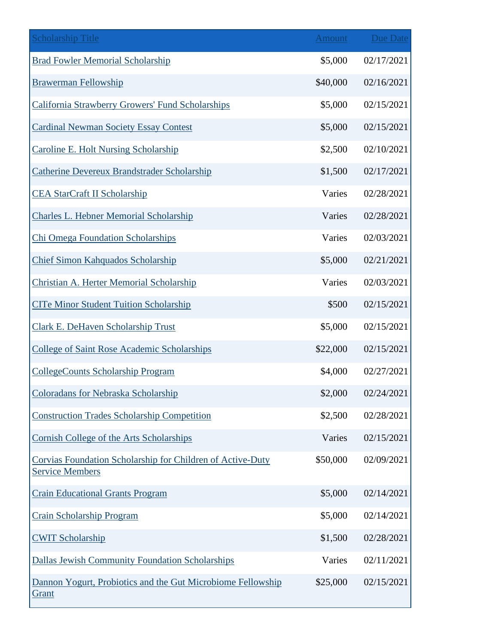| <b>Scholarship Title</b>                                                             | <b>Amount</b> | <b>Due Date</b> |
|--------------------------------------------------------------------------------------|---------------|-----------------|
| <b>Brad Fowler Memorial Scholarship</b>                                              | \$5,000       | 02/17/2021      |
| <b>Brawerman Fellowship</b>                                                          | \$40,000      | 02/16/2021      |
| California Strawberry Growers' Fund Scholarships                                     | \$5,000       | 02/15/2021      |
| <b>Cardinal Newman Society Essay Contest</b>                                         | \$5,000       | 02/15/2021      |
| <b>Caroline E. Holt Nursing Scholarship</b>                                          | \$2,500       | 02/10/2021      |
| Catherine Devereux Brandstrader Scholarship                                          | \$1,500       | 02/17/2021      |
| <b>CEA StarCraft II Scholarship</b>                                                  | Varies        | 02/28/2021      |
| <b>Charles L. Hebner Memorial Scholarship</b>                                        | Varies        | 02/28/2021      |
| <b>Chi Omega Foundation Scholarships</b>                                             | Varies        | 02/03/2021      |
| <b>Chief Simon Kahquados Scholarship</b>                                             | \$5,000       | 02/21/2021      |
| Christian A. Herter Memorial Scholarship                                             | Varies        | 02/03/2021      |
| <b>CITe Minor Student Tuition Scholarship</b>                                        | \$500         | 02/15/2021      |
| <b>Clark E. DeHaven Scholarship Trust</b>                                            | \$5,000       | 02/15/2021      |
| <b>College of Saint Rose Academic Scholarships</b>                                   | \$22,000      | 02/15/2021      |
| <b>CollegeCounts Scholarship Program</b>                                             | \$4,000       | 02/27/2021      |
| <b>Coloradans for Nebraska Scholarship</b>                                           | \$2,000       | 02/24/2021      |
| <b>Construction Trades Scholarship Competition</b>                                   | \$2,500       | 02/28/2021      |
| Cornish College of the Arts Scholarships                                             | Varies        | 02/15/2021      |
| Corvias Foundation Scholarship for Children of Active-Duty<br><b>Service Members</b> | \$50,000      | 02/09/2021      |
| <b>Crain Educational Grants Program</b>                                              | \$5,000       | 02/14/2021      |
| <b>Crain Scholarship Program</b>                                                     | \$5,000       | 02/14/2021      |
| <b>CWIT Scholarship</b>                                                              | \$1,500       | 02/28/2021      |
| <b>Dallas Jewish Community Foundation Scholarships</b>                               | Varies        | 02/11/2021      |
| Dannon Yogurt, Probiotics and the Gut Microbiome Fellowship<br>Grant                 | \$25,000      | 02/15/2021      |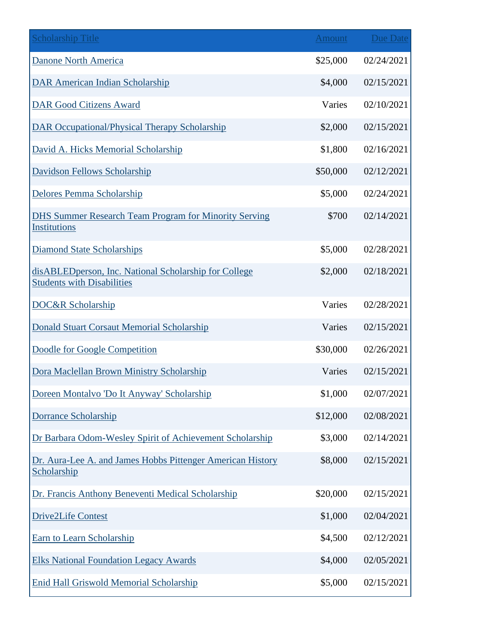| <b>Scholarship Title</b>                                                                   | <b>Amount</b> | <b>Due Date</b> |
|--------------------------------------------------------------------------------------------|---------------|-----------------|
| <b>Danone North America</b>                                                                | \$25,000      | 02/24/2021      |
| <b>DAR American Indian Scholarship</b>                                                     | \$4,000       | 02/15/2021      |
| <b>DAR Good Citizens Award</b>                                                             | Varies        | 02/10/2021      |
| <b>DAR Occupational/Physical Therapy Scholarship</b>                                       | \$2,000       | 02/15/2021      |
| David A. Hicks Memorial Scholarship                                                        | \$1,800       | 02/16/2021      |
| <b>Davidson Fellows Scholarship</b>                                                        | \$50,000      | 02/12/2021      |
| Delores Pemma Scholarship                                                                  | \$5,000       | 02/24/2021      |
| <b>DHS Summer Research Team Program for Minority Serving</b><br><b>Institutions</b>        | \$700         | 02/14/2021      |
| <b>Diamond State Scholarships</b>                                                          | \$5,000       | 02/28/2021      |
| disABLEDperson, Inc. National Scholarship for College<br><b>Students with Disabilities</b> | \$2,000       | 02/18/2021      |
| DOC&R Scholarship                                                                          | Varies        | 02/28/2021      |
| <b>Donald Stuart Corsaut Memorial Scholarship</b>                                          | Varies        | 02/15/2021      |
| Doodle for Google Competition                                                              | \$30,000      | 02/26/2021      |
| Dora Maclellan Brown Ministry Scholarship                                                  | Varies        | 02/15/2021      |
| Doreen Montalvo 'Do It Anyway' Scholarship                                                 | \$1,000       | 02/07/2021      |
| <b>Dorrance Scholarship</b>                                                                | \$12,000      | 02/08/2021      |
| Dr Barbara Odom-Wesley Spirit of Achievement Scholarship                                   | \$3,000       | 02/14/2021      |
| Dr. Aura-Lee A. and James Hobbs Pittenger American History<br>Scholarship                  | \$8,000       | 02/15/2021      |
| Dr. Francis Anthony Beneventi Medical Scholarship                                          | \$20,000      | 02/15/2021      |
| <b>Drive2Life Contest</b>                                                                  | \$1,000       | 02/04/2021      |
| <b>Earn to Learn Scholarship</b>                                                           | \$4,500       | 02/12/2021      |
| <b>Elks National Foundation Legacy Awards</b>                                              | \$4,000       | 02/05/2021      |
| <b>Enid Hall Griswold Memorial Scholarship</b>                                             | \$5,000       | 02/15/2021      |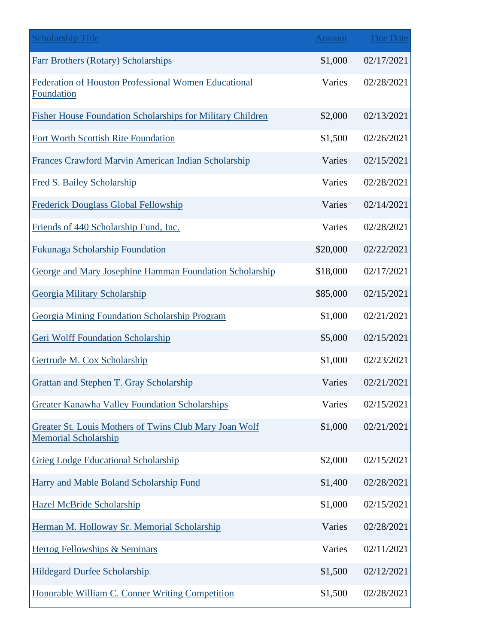| <b>Scholarship Title</b>                                                              | <b>Amount</b> | <b>Due Date</b> |
|---------------------------------------------------------------------------------------|---------------|-----------------|
| <b>Farr Brothers (Rotary) Scholarships</b>                                            | \$1,000       | 02/17/2021      |
| Federation of Houston Professional Women Educational<br>Foundation                    | Varies        | 02/28/2021      |
| <b>Fisher House Foundation Scholarships for Military Children</b>                     | \$2,000       | 02/13/2021      |
| Fort Worth Scottish Rite Foundation                                                   | \$1,500       | 02/26/2021      |
| Frances Crawford Marvin American Indian Scholarship                                   | Varies        | 02/15/2021      |
| Fred S. Bailey Scholarship                                                            | Varies        | 02/28/2021      |
| <b>Frederick Douglass Global Fellowship</b>                                           | Varies        | 02/14/2021      |
| Friends of 440 Scholarship Fund, Inc.                                                 | Varies        | 02/28/2021      |
| <b>Fukunaga Scholarship Foundation</b>                                                | \$20,000      | 02/22/2021      |
| George and Mary Josephine Hamman Foundation Scholarship                               | \$18,000      | 02/17/2021      |
| Georgia Military Scholarship                                                          | \$85,000      | 02/15/2021      |
| <b>Georgia Mining Foundation Scholarship Program</b>                                  | \$1,000       | 02/21/2021      |
| <b>Geri Wolff Foundation Scholarship</b>                                              | \$5,000       | 02/15/2021      |
| Gertrude M. Cox Scholarship                                                           | \$1,000       | 02/23/2021      |
| <b>Grattan and Stephen T. Gray Scholarship</b>                                        | Varies        | 02/21/2021      |
| <b>Greater Kanawha Valley Foundation Scholarships</b>                                 | Varies        | 02/15/2021      |
| Greater St. Louis Mothers of Twins Club Mary Joan Wolf<br><b>Memorial Scholarship</b> | \$1,000       | 02/21/2021      |
| <b>Grieg Lodge Educational Scholarship</b>                                            | \$2,000       | 02/15/2021      |
| Harry and Mable Boland Scholarship Fund                                               | \$1,400       | 02/28/2021      |
| <b>Hazel McBride Scholarship</b>                                                      | \$1,000       | 02/15/2021      |
| Herman M. Holloway Sr. Memorial Scholarship                                           | Varies        | 02/28/2021      |
| <b>Hertog Fellowships &amp; Seminars</b>                                              | Varies        | 02/11/2021      |
| <b>Hildegard Durfee Scholarship</b>                                                   | \$1,500       | 02/12/2021      |
| Honorable William C. Conner Writing Competition                                       | \$1,500       | 02/28/2021      |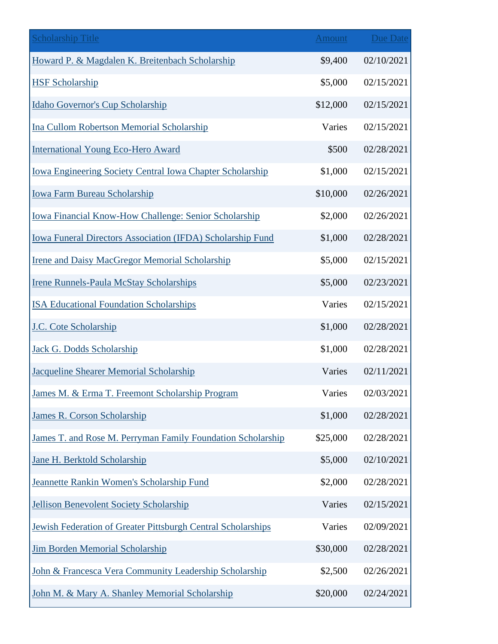| <b>Scholarship Title</b>                                          | <b>Amount</b> | <b>Due Date</b> |
|-------------------------------------------------------------------|---------------|-----------------|
| Howard P. & Magdalen K. Breitenbach Scholarship                   | \$9,400       | 02/10/2021      |
| <b>HSF Scholarship</b>                                            | \$5,000       | 02/15/2021      |
| Idaho Governor's Cup Scholarship                                  | \$12,000      | 02/15/2021      |
| <b>Ina Cullom Robertson Memorial Scholarship</b>                  | Varies        | 02/15/2021      |
| <b>International Young Eco-Hero Award</b>                         | \$500         | 02/28/2021      |
| <b>Iowa Engineering Society Central Iowa Chapter Scholarship</b>  | \$1,000       | 02/15/2021      |
| Iowa Farm Bureau Scholarship                                      | \$10,000      | 02/26/2021      |
| Iowa Financial Know-How Challenge: Senior Scholarship             | \$2,000       | 02/26/2021      |
| <b>Iowa Funeral Directors Association (IFDA) Scholarship Fund</b> | \$1,000       | 02/28/2021      |
| <b>Irene and Daisy MacGregor Memorial Scholarship</b>             | \$5,000       | 02/15/2021      |
| <b>Irene Runnels-Paula McStay Scholarships</b>                    | \$5,000       | 02/23/2021      |
| <b>ISA Educational Foundation Scholarships</b>                    | Varies        | 02/15/2021      |
| J.C. Cote Scholarship                                             | \$1,000       | 02/28/2021      |
| Jack G. Dodds Scholarship                                         | \$1,000       | 02/28/2021      |
| <b>Jacqueline Shearer Memorial Scholarship</b>                    | Varies        | 02/11/2021      |
| James M. & Erma T. Freemont Scholarship Program                   | Varies        | 02/03/2021      |
| <b>James R. Corson Scholarship</b>                                | \$1,000       | 02/28/2021      |
| James T. and Rose M. Perryman Family Foundation Scholarship       | \$25,000      | 02/28/2021      |
| Jane H. Berktold Scholarship                                      | \$5,000       | 02/10/2021      |
| Jeannette Rankin Women's Scholarship Fund                         | \$2,000       | 02/28/2021      |
| <b>Jellison Benevolent Society Scholarship</b>                    | Varies        | 02/15/2021      |
| Jewish Federation of Greater Pittsburgh Central Scholarships      | Varies        | 02/09/2021      |
| <b>Jim Borden Memorial Scholarship</b>                            | \$30,000      | 02/28/2021      |
| John & Francesca Vera Community Leadership Scholarship            | \$2,500       | 02/26/2021      |
| John M. & Mary A. Shanley Memorial Scholarship                    | \$20,000      | 02/24/2021      |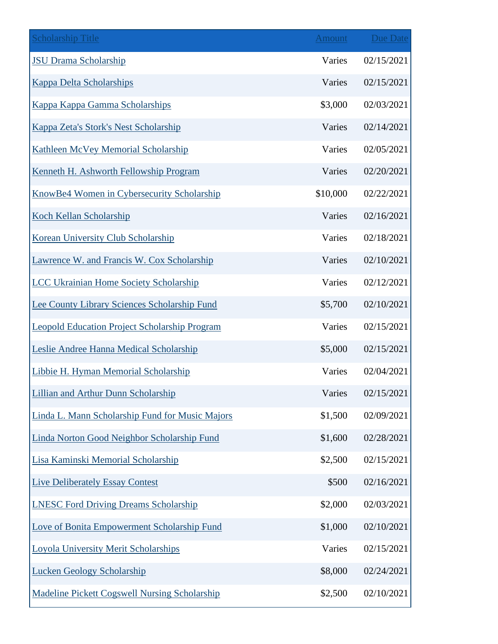| <b>Scholarship Title</b>                             | <b>Amount</b> | <b>Due Date</b> |
|------------------------------------------------------|---------------|-----------------|
| <b>JSU Drama Scholarship</b>                         | Varies        | 02/15/2021      |
| <b>Kappa Delta Scholarships</b>                      | Varies        | 02/15/2021      |
| Kappa Kappa Gamma Scholarships                       | \$3,000       | 02/03/2021      |
| Kappa Zeta's Stork's Nest Scholarship                | Varies        | 02/14/2021      |
| <b>Kathleen McVey Memorial Scholarship</b>           | Varies        | 02/05/2021      |
| Kenneth H. Ashworth Fellowship Program               | Varies        | 02/20/2021      |
| KnowBe4 Women in Cybersecurity Scholarship           | \$10,000      | 02/22/2021      |
| Koch Kellan Scholarship                              | Varies        | 02/16/2021      |
| Korean University Club Scholarship                   | Varies        | 02/18/2021      |
| Lawrence W. and Francis W. Cox Scholarship           | Varies        | 02/10/2021      |
| <b>LCC Ukrainian Home Society Scholarship</b>        | Varies        | 02/12/2021      |
| Lee County Library Sciences Scholarship Fund         | \$5,700       | 02/10/2021      |
| <b>Leopold Education Project Scholarship Program</b> | Varies        | 02/15/2021      |
| Leslie Andree Hanna Medical Scholarship              | \$5,000       | 02/15/2021      |
| Libbie H. Hyman Memorial Scholarship                 | Varies        | 02/04/2021      |
| <b>Lillian and Arthur Dunn Scholarship</b>           | Varies        | 02/15/2021      |
| Linda L. Mann Scholarship Fund for Music Majors      | \$1,500       | 02/09/2021      |
| Linda Norton Good Neighbor Scholarship Fund          | \$1,600       | 02/28/2021      |
| Lisa Kaminski Memorial Scholarship                   | \$2,500       | 02/15/2021      |
| <b>Live Deliberately Essay Contest</b>               | \$500         | 02/16/2021      |
| <b>LNESC Ford Driving Dreams Scholarship</b>         | \$2,000       | 02/03/2021      |
| Love of Bonita Empowerment Scholarship Fund          | \$1,000       | 02/10/2021      |
| <b>Loyola University Merit Scholarships</b>          | Varies        | 02/15/2021      |
| <b>Lucken Geology Scholarship</b>                    | \$8,000       | 02/24/2021      |
| <b>Madeline Pickett Cogswell Nursing Scholarship</b> | \$2,500       | 02/10/2021      |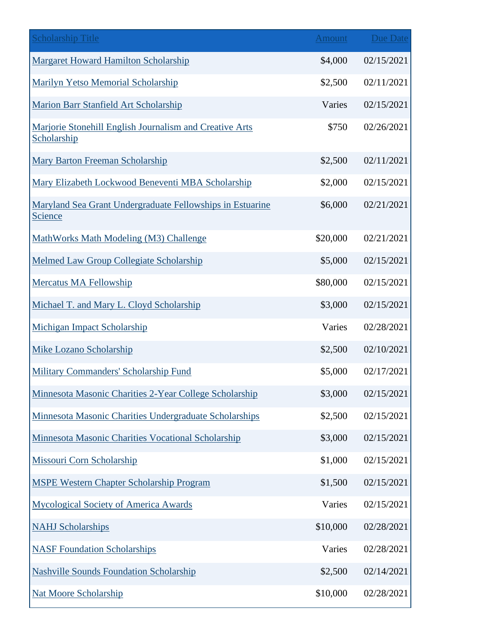| <b>Scholarship Title</b>                                                    | <b>Amount</b> | <b>Due Date</b> |
|-----------------------------------------------------------------------------|---------------|-----------------|
| <b>Margaret Howard Hamilton Scholarship</b>                                 | \$4,000       | 02/15/2021      |
| <b>Marilyn Yetso Memorial Scholarship</b>                                   | \$2,500       | 02/11/2021      |
| Marion Barr Stanfield Art Scholarship                                       | Varies        | 02/15/2021      |
| Marjorie Stonehill English Journalism and Creative Arts<br>Scholarship      | \$750         | 02/26/2021      |
| <b>Mary Barton Freeman Scholarship</b>                                      | \$2,500       | 02/11/2021      |
| Mary Elizabeth Lockwood Beneventi MBA Scholarship                           | \$2,000       | 02/15/2021      |
| Maryland Sea Grant Undergraduate Fellowships in Estuarine<br><b>Science</b> | \$6,000       | 02/21/2021      |
| MathWorks Math Modeling (M3) Challenge                                      | \$20,000      | 02/21/2021      |
| Melmed Law Group Collegiate Scholarship                                     | \$5,000       | 02/15/2021      |
| Mercatus MA Fellowship                                                      | \$80,000      | 02/15/2021      |
| Michael T. and Mary L. Cloyd Scholarship                                    | \$3,000       | 02/15/2021      |
| Michigan Impact Scholarship                                                 | Varies        | 02/28/2021      |
| <b>Mike Lozano Scholarship</b>                                              | \$2,500       | 02/10/2021      |
| <b>Military Commanders' Scholarship Fund</b>                                | \$5,000       | 02/17/2021      |
| Minnesota Masonic Charities 2-Year College Scholarship                      | \$3,000       | 02/15/2021      |
| Minnesota Masonic Charities Undergraduate Scholarships                      | \$2,500       | 02/15/2021      |
| Minnesota Masonic Charities Vocational Scholarship                          | \$3,000       | 02/15/2021      |
| Missouri Corn Scholarship                                                   | \$1,000       | 02/15/2021      |
| <b>MSPE Western Chapter Scholarship Program</b>                             | \$1,500       | 02/15/2021      |
| <b>Mycological Society of America Awards</b>                                | Varies        | 02/15/2021      |
| <b>NAHJ Scholarships</b>                                                    | \$10,000      | 02/28/2021      |
| <b>NASF Foundation Scholarships</b>                                         | Varies        | 02/28/2021      |
| <b>Nashville Sounds Foundation Scholarship</b>                              | \$2,500       | 02/14/2021      |
| <b>Nat Moore Scholarship</b>                                                | \$10,000      | 02/28/2021      |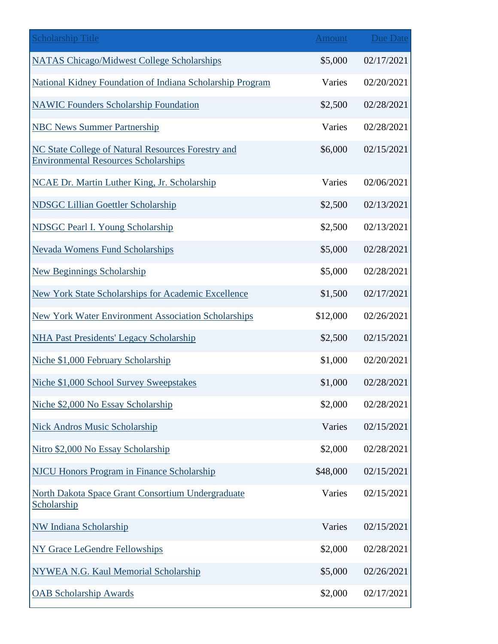| <b>Scholarship Title</b>                                                                          | <b>Amount</b> | <b>Due Date</b> |
|---------------------------------------------------------------------------------------------------|---------------|-----------------|
| <b>NATAS Chicago/Midwest College Scholarships</b>                                                 | \$5,000       | 02/17/2021      |
| National Kidney Foundation of Indiana Scholarship Program                                         | Varies        | 02/20/2021      |
| <b>NAWIC Founders Scholarship Foundation</b>                                                      | \$2,500       | 02/28/2021      |
| <b>NBC News Summer Partnership</b>                                                                | Varies        | 02/28/2021      |
| NC State College of Natural Resources Forestry and<br><b>Environmental Resources Scholarships</b> | \$6,000       | 02/15/2021      |
| NCAE Dr. Martin Luther King, Jr. Scholarship                                                      | Varies        | 02/06/2021      |
| <b>NDSGC Lillian Goettler Scholarship</b>                                                         | \$2,500       | 02/13/2021      |
| <b>NDSGC Pearl I. Young Scholarship</b>                                                           | \$2,500       | 02/13/2021      |
| <b>Nevada Womens Fund Scholarships</b>                                                            | \$5,000       | 02/28/2021      |
| <b>New Beginnings Scholarship</b>                                                                 | \$5,000       | 02/28/2021      |
| <b>New York State Scholarships for Academic Excellence</b>                                        | \$1,500       | 02/17/2021      |
| <b>New York Water Environment Association Scholarships</b>                                        | \$12,000      | 02/26/2021      |
| <b>NHA Past Presidents' Legacy Scholarship</b>                                                    | \$2,500       | 02/15/2021      |
| Niche \$1,000 February Scholarship                                                                | \$1,000       | 02/20/2021      |
| Niche \$1,000 School Survey Sweepstakes                                                           | \$1,000       | 02/28/2021      |
| Niche \$2,000 No Essay Scholarship                                                                | \$2,000       | 02/28/2021      |
| <b>Nick Andros Music Scholarship</b>                                                              | Varies        | 02/15/2021      |
| Nitro \$2,000 No Essay Scholarship                                                                | \$2,000       | 02/28/2021      |
| <b>NJCU Honors Program in Finance Scholarship</b>                                                 | \$48,000      | 02/15/2021      |
| North Dakota Space Grant Consortium Undergraduate<br>Scholarship                                  | Varies        | 02/15/2021      |
| <b>NW Indiana Scholarship</b>                                                                     | Varies        | 02/15/2021      |
| <b>NY Grace LeGendre Fellowships</b>                                                              | \$2,000       | 02/28/2021      |
| <b>NYWEA N.G. Kaul Memorial Scholarship</b>                                                       | \$5,000       | 02/26/2021      |
| <b>OAB Scholarship Awards</b>                                                                     | \$2,000       | 02/17/2021      |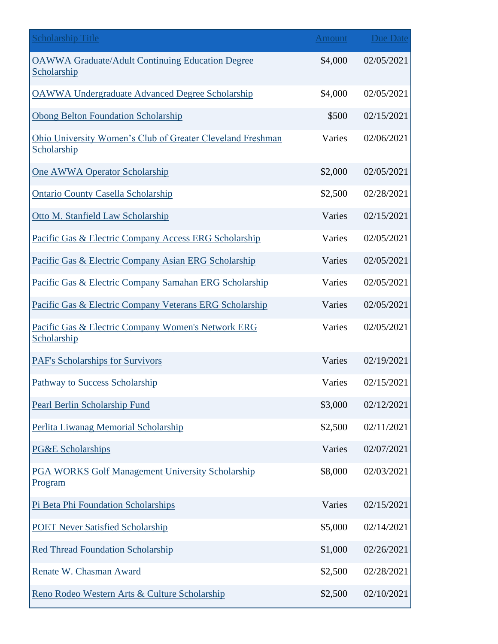| <b>Scholarship Title</b>                                                  | Amount  | <b>Due Date</b> |
|---------------------------------------------------------------------------|---------|-----------------|
| <b>OAWWA Graduate/Adult Continuing Education Degree</b><br>Scholarship    | \$4,000 | 02/05/2021      |
| <b>OAWWA Undergraduate Advanced Degree Scholarship</b>                    | \$4,000 | 02/05/2021      |
| <b>Obong Belton Foundation Scholarship</b>                                | \$500   | 02/15/2021      |
| Ohio University Women's Club of Greater Cleveland Freshman<br>Scholarship | Varies  | 02/06/2021      |
| One AWWA Operator Scholarship                                             | \$2,000 | 02/05/2021      |
| <b>Ontario County Casella Scholarship</b>                                 | \$2,500 | 02/28/2021      |
| Otto M. Stanfield Law Scholarship                                         | Varies  | 02/15/2021      |
| Pacific Gas & Electric Company Access ERG Scholarship                     | Varies  | 02/05/2021      |
| Pacific Gas & Electric Company Asian ERG Scholarship                      | Varies  | 02/05/2021      |
| Pacific Gas & Electric Company Samahan ERG Scholarship                    | Varies  | 02/05/2021      |
| Pacific Gas & Electric Company Veterans ERG Scholarship                   | Varies  | 02/05/2021      |
| Pacific Gas & Electric Company Women's Network ERG<br>Scholarship         | Varies  | 02/05/2021      |
| <b>PAF's Scholarships for Survivors</b>                                   | Varies  | 02/19/2021      |
| Pathway to Success Scholarship                                            | Varies  | 02/15/2021      |
| Pearl Berlin Scholarship Fund                                             | \$3,000 | 02/12/2021      |
| Perlita Liwanag Memorial Scholarship                                      | \$2,500 | 02/11/2021      |
| <b>PG&amp;E Scholarships</b>                                              | Varies  | 02/07/2021      |
| <b>PGA WORKS Golf Management University Scholarship</b><br>Program        | \$8,000 | 02/03/2021      |
| Pi Beta Phi Foundation Scholarships                                       | Varies  | 02/15/2021      |
| <b>POET Never Satisfied Scholarship</b>                                   | \$5,000 | 02/14/2021      |
| <b>Red Thread Foundation Scholarship</b>                                  | \$1,000 | 02/26/2021      |
| Renate W. Chasman Award                                                   | \$2,500 | 02/28/2021      |
| Reno Rodeo Western Arts & Culture Scholarship                             | \$2,500 | 02/10/2021      |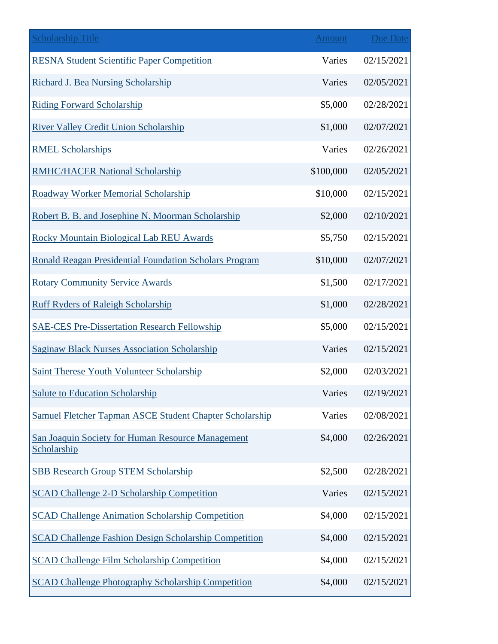| <b>Scholarship Title</b>                                         | <b>Amount</b> | <b>Due Date</b> |
|------------------------------------------------------------------|---------------|-----------------|
| <b>RESNA Student Scientific Paper Competition</b>                | Varies        | 02/15/2021      |
| <b>Richard J. Bea Nursing Scholarship</b>                        | Varies        | 02/05/2021      |
| <b>Riding Forward Scholarship</b>                                | \$5,000       | 02/28/2021      |
| <b>River Valley Credit Union Scholarship</b>                     | \$1,000       | 02/07/2021      |
| <b>RMEL Scholarships</b>                                         | Varies        | 02/26/2021      |
| <b>RMHC/HACER National Scholarship</b>                           | \$100,000     | 02/05/2021      |
| Roadway Worker Memorial Scholarship                              | \$10,000      | 02/15/2021      |
| Robert B. B. and Josephine N. Moorman Scholarship                | \$2,000       | 02/10/2021      |
| <b>Rocky Mountain Biological Lab REU Awards</b>                  | \$5,750       | 02/15/2021      |
| <b>Ronald Reagan Presidential Foundation Scholars Program</b>    | \$10,000      | 02/07/2021      |
| <b>Rotary Community Service Awards</b>                           | \$1,500       | 02/17/2021      |
| <b>Ruff Ryders of Raleigh Scholarship</b>                        | \$1,000       | 02/28/2021      |
| <b>SAE-CES Pre-Dissertation Research Fellowship</b>              | \$5,000       | 02/15/2021      |
| <b>Saginaw Black Nurses Association Scholarship</b>              | Varies        | 02/15/2021      |
| <b>Saint Therese Youth Volunteer Scholarship</b>                 | \$2,000       | 02/03/2021      |
| <b>Salute to Education Scholarship</b>                           | Varies        | 02/19/2021      |
| Samuel Fletcher Tapman ASCE Student Chapter Scholarship          | Varies        | 02/08/2021      |
| San Joaquin Society for Human Resource Management<br>Scholarship | \$4,000       | 02/26/2021      |
| <b>SBB Research Group STEM Scholarship</b>                       | \$2,500       | 02/28/2021      |
| <b>SCAD Challenge 2-D Scholarship Competition</b>                | Varies        | 02/15/2021      |
| <b>SCAD Challenge Animation Scholarship Competition</b>          | \$4,000       | 02/15/2021      |
| <b>SCAD Challenge Fashion Design Scholarship Competition</b>     | \$4,000       | 02/15/2021      |
| <b>SCAD Challenge Film Scholarship Competition</b>               | \$4,000       | 02/15/2021      |
| <b>SCAD Challenge Photography Scholarship Competition</b>        | \$4,000       | 02/15/2021      |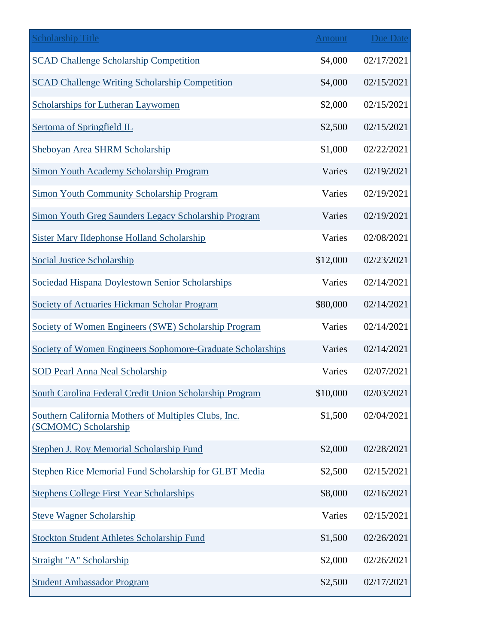| <b>Scholarship Title</b>                                                     | Amount   | <b>Due Date</b> |
|------------------------------------------------------------------------------|----------|-----------------|
| <b>SCAD Challenge Scholarship Competition</b>                                | \$4,000  | 02/17/2021      |
| <b>SCAD Challenge Writing Scholarship Competition</b>                        | \$4,000  | 02/15/2021      |
| <b>Scholarships for Lutheran Laywomen</b>                                    | \$2,000  | 02/15/2021      |
| Sertoma of Springfield IL                                                    | \$2,500  | 02/15/2021      |
| Sheboyan Area SHRM Scholarship                                               | \$1,000  | 02/22/2021      |
| <b>Simon Youth Academy Scholarship Program</b>                               | Varies   | 02/19/2021      |
| Simon Youth Community Scholarship Program                                    | Varies   | 02/19/2021      |
| Simon Youth Greg Saunders Legacy Scholarship Program                         | Varies   | 02/19/2021      |
| <b>Sister Mary Ildephonse Holland Scholarship</b>                            | Varies   | 02/08/2021      |
| <b>Social Justice Scholarship</b>                                            | \$12,000 | 02/23/2021      |
| Sociedad Hispana Doylestown Senior Scholarships                              | Varies   | 02/14/2021      |
| Society of Actuaries Hickman Scholar Program                                 | \$80,000 | 02/14/2021      |
| Society of Women Engineers (SWE) Scholarship Program                         | Varies   | 02/14/2021      |
| Society of Women Engineers Sophomore-Graduate Scholarships                   | Varies   | 02/14/2021      |
| <b>SOD Pearl Anna Neal Scholarship</b>                                       | Varies   | 02/07/2021      |
| South Carolina Federal Credit Union Scholarship Program                      | \$10,000 | 02/03/2021      |
| Southern California Mothers of Multiples Clubs, Inc.<br>(SCMOMC) Scholarship | \$1,500  | 02/04/2021      |
| <b>Stephen J. Roy Memorial Scholarship Fund</b>                              | \$2,000  | 02/28/2021      |
| Stephen Rice Memorial Fund Scholarship for GLBT Media                        | \$2,500  | 02/15/2021      |
| <b>Stephens College First Year Scholarships</b>                              | \$8,000  | 02/16/2021      |
| <b>Steve Wagner Scholarship</b>                                              | Varies   | 02/15/2021      |
| <b>Stockton Student Athletes Scholarship Fund</b>                            | \$1,500  | 02/26/2021      |
| Straight "A" Scholarship                                                     | \$2,000  | 02/26/2021      |
| <b>Student Ambassador Program</b>                                            | \$2,500  | 02/17/2021      |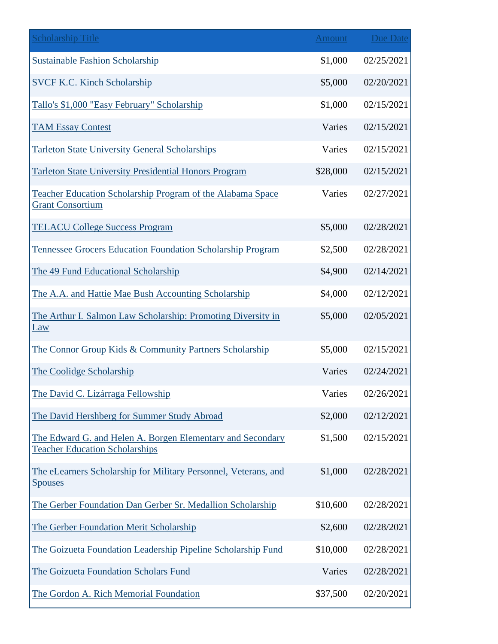| <b>Scholarship Title</b>                                                                            | <b>Amount</b> | Due Date   |
|-----------------------------------------------------------------------------------------------------|---------------|------------|
| <b>Sustainable Fashion Scholarship</b>                                                              | \$1,000       | 02/25/2021 |
| <b>SVCF K.C. Kinch Scholarship</b>                                                                  | \$5,000       | 02/20/2021 |
| Tallo's \$1,000 "Easy February" Scholarship                                                         | \$1,000       | 02/15/2021 |
| <b>TAM Essay Contest</b>                                                                            | Varies        | 02/15/2021 |
| <b>Tarleton State University General Scholarships</b>                                               | Varies        | 02/15/2021 |
| <b>Tarleton State University Presidential Honors Program</b>                                        | \$28,000      | 02/15/2021 |
| Teacher Education Scholarship Program of the Alabama Space<br><b>Grant Consortium</b>               | Varies        | 02/27/2021 |
| <b>TELACU College Success Program</b>                                                               | \$5,000       | 02/28/2021 |
| Tennessee Grocers Education Foundation Scholarship Program                                          | \$2,500       | 02/28/2021 |
| The 49 Fund Educational Scholarship                                                                 | \$4,900       | 02/14/2021 |
| The A.A. and Hattie Mae Bush Accounting Scholarship                                                 | \$4,000       | 02/12/2021 |
| The Arthur L Salmon Law Scholarship: Promoting Diversity in<br><b>Law</b>                           | \$5,000       | 02/05/2021 |
| The Connor Group Kids & Community Partners Scholarship                                              | \$5,000       | 02/15/2021 |
| The Coolidge Scholarship                                                                            | Varies        | 02/24/2021 |
| The David C. Lizárraga Fellowship                                                                   | Varies        | 02/26/2021 |
| The David Hershberg for Summer Study Abroad                                                         | \$2,000       | 02/12/2021 |
| The Edward G. and Helen A. Borgen Elementary and Secondary<br><b>Teacher Education Scholarships</b> | \$1,500       | 02/15/2021 |
| The eLearners Scholarship for Military Personnel, Veterans, and<br><b>Spouses</b>                   | \$1,000       | 02/28/2021 |
| The Gerber Foundation Dan Gerber Sr. Medallion Scholarship                                          | \$10,600      | 02/28/2021 |
| The Gerber Foundation Merit Scholarship                                                             | \$2,600       | 02/28/2021 |
| The Goizueta Foundation Leadership Pipeline Scholarship Fund                                        | \$10,000      | 02/28/2021 |
| The Goizueta Foundation Scholars Fund                                                               | Varies        | 02/28/2021 |
| The Gordon A. Rich Memorial Foundation                                                              | \$37,500      | 02/20/2021 |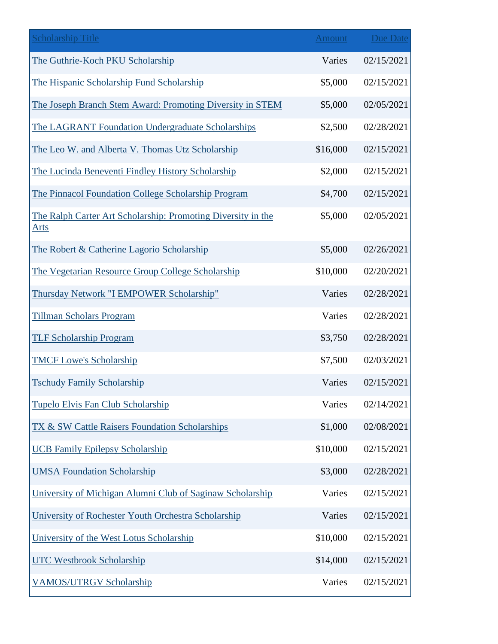| <b>Scholarship Title</b>                                                    | Amount   | <b>Due Date</b> |
|-----------------------------------------------------------------------------|----------|-----------------|
| The Guthrie-Koch PKU Scholarship                                            | Varies   | 02/15/2021      |
| The Hispanic Scholarship Fund Scholarship                                   | \$5,000  | 02/15/2021      |
| The Joseph Branch Stem Award: Promoting Diversity in STEM                   | \$5,000  | 02/05/2021      |
| The LAGRANT Foundation Undergraduate Scholarships                           | \$2,500  | 02/28/2021      |
| The Leo W. and Alberta V. Thomas Utz Scholarship                            | \$16,000 | 02/15/2021      |
| The Lucinda Beneventi Findley History Scholarship                           | \$2,000  | 02/15/2021      |
| The Pinnacol Foundation College Scholarship Program                         | \$4,700  | 02/15/2021      |
| The Ralph Carter Art Scholarship: Promoting Diversity in the<br><u>Arts</u> | \$5,000  | 02/05/2021      |
| The Robert & Catherine Lagorio Scholarship                                  | \$5,000  | 02/26/2021      |
| The Vegetarian Resource Group College Scholarship                           | \$10,000 | 02/20/2021      |
| Thursday Network "I EMPOWER Scholarship"                                    | Varies   | 02/28/2021      |
| <b>Tillman Scholars Program</b>                                             | Varies   | 02/28/2021      |
| <b>TLF Scholarship Program</b>                                              | \$3,750  | 02/28/2021      |
| <b>TMCF Lowe's Scholarship</b>                                              | \$7,500  | 02/03/2021      |
| <b>Tschudy Family Scholarship</b>                                           | Varies   | 02/15/2021      |
| Tupelo Elvis Fan Club Scholarship                                           | Varies   | 02/14/2021      |
| TX & SW Cattle Raisers Foundation Scholarships                              | \$1,000  | 02/08/2021      |
| <b>UCB Family Epilepsy Scholarship</b>                                      | \$10,000 | 02/15/2021      |
| <b>UMSA Foundation Scholarship</b>                                          | \$3,000  | 02/28/2021      |
| University of Michigan Alumni Club of Saginaw Scholarship                   | Varies   | 02/15/2021      |
| University of Rochester Youth Orchestra Scholarship                         | Varies   | 02/15/2021      |
| University of the West Lotus Scholarship                                    | \$10,000 | 02/15/2021      |
| <b>UTC Westbrook Scholarship</b>                                            | \$14,000 | 02/15/2021      |
| <b>VAMOS/UTRGV Scholarship</b>                                              | Varies   | 02/15/2021      |